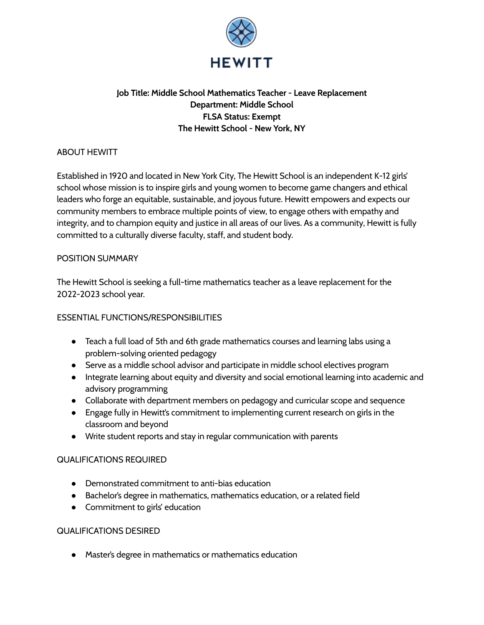

# **Job Title: Middle School Mathematics Teacher - Leave Replacement Department: Middle School FLSA Status: Exempt The Hewitt School - New York, NY**

### ABOUT HEWITT

Established in 1920 and located in New York City, The Hewitt School is an independent K-12 girls' school whose mission is to inspire girls and young women to become game changers and ethical leaders who forge an equitable, sustainable, and joyous future. Hewitt empowers and expects our community members to embrace multiple points of view, to engage others with empathy and integrity, and to champion equity and justice in all areas of our lives. As a community, Hewitt is fully committed to a culturally diverse faculty, staff, and student body.

#### POSITION SUMMARY

The Hewitt School is seeking a full-time mathematics teacher as a leave replacement for the 2022-2023 school year.

### ESSENTIAL FUNCTIONS/RESPONSIBILITIES

- Teach a full load of 5th and 6th grade mathematics courses and learning labs using a problem-solving oriented pedagogy
- Serve as a middle school advisor and participate in middle school electives program
- Integrate learning about equity and diversity and social emotional learning into academic and advisory programming
- Collaborate with department members on pedagogy and curricular scope and sequence
- Engage fully in Hewitt's commitment to implementing current research on girls in the classroom and beyond
- Write student reports and stay in regular communication with parents

# QUALIFICATIONS REQUIRED

- Demonstrated commitment to anti-bias education
- Bachelor's degree in mathematics, mathematics education, or a related field
- Commitment to girls' education

#### QUALIFICATIONS DESIRED

● Master's degree in mathematics or mathematics education